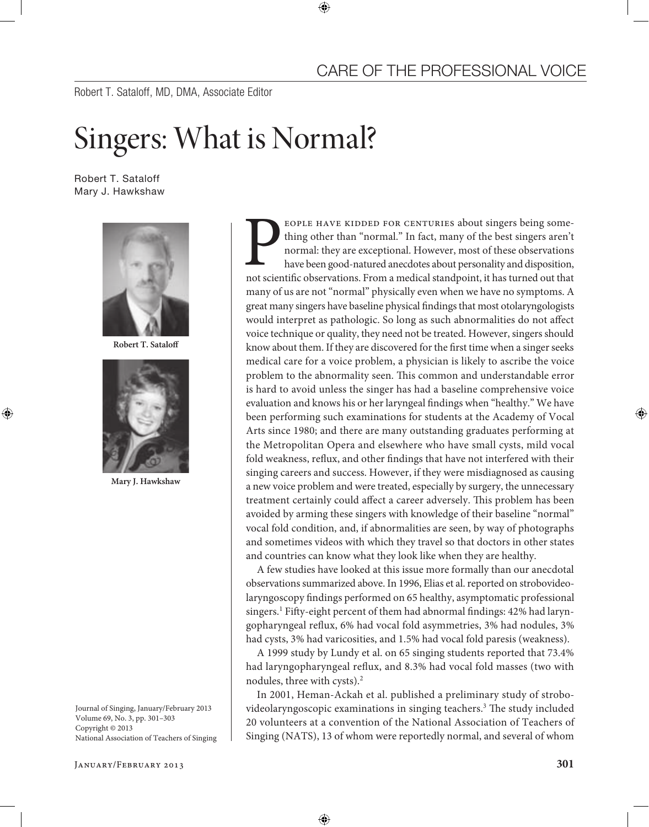Robert T. Sataloff, MD, DMA, Associate Editor

## Singers: What is Normal?

Robert T. Sataloff Mary J. Hawkshaw



**Robert T. Sataloff**



**Mary J. Hawkshaw**

Journal of Singing, January/February 2013 Volume 69, No. 3, pp. 301–303 Copyright © 2013 National Association of Teachers of Singing

January/February 2013 **301**

FOPLE HAVE KIDDED FOR CENTURIES about singers being something other than "normal." In fact, many of the best singers aren't normal: they are exceptional. However, most of these observations have been good-natured anecdotes thing other than "normal." In fact, many of the best singers aren't normal: they are exceptional. However, most of these observations have been good-natured anecdotes about personality and disposition, many of us are not "normal" physically even when we have no symptoms. A great many singers have baseline physical findings that most otolaryngologists would interpret as pathologic. So long as such abnormalities do not affect voice technique or quality, they need not be treated. However, singers should know about them. If they are discovered for the first time when a singer seeks medical care for a voice problem, a physician is likely to ascribe the voice problem to the abnormality seen. This common and understandable error is hard to avoid unless the singer has had a baseline comprehensive voice evaluation and knows his or her laryngeal findings when "healthy." We have been performing such examinations for students at the Academy of Vocal Arts since 1980; and there are many outstanding graduates performing at the Metropolitan Opera and elsewhere who have small cysts, mild vocal fold weakness, reflux, and other findings that have not interfered with their singing careers and success. However, if they were misdiagnosed as causing a new voice problem and were treated, especially by surgery, the unnecessary treatment certainly could affect a career adversely. This problem has been avoided by arming these singers with knowledge of their baseline "normal" vocal fold condition, and, if abnormalities are seen, by way of photographs and sometimes videos with which they travel so that doctors in other states and countries can know what they look like when they are healthy.

A few studies have looked at this issue more formally than our anecdotal observations summarized above. In 1996, Elias et al. reported on strobovideolaryngoscopy findings performed on 65 healthy, asymptomatic professional singers.<sup>1</sup> Fifty-eight percent of them had abnormal findings: 42% had laryngopharyngeal reflux, 6% had vocal fold asymmetries, 3% had nodules, 3% had cysts, 3% had varicosities, and 1.5% had vocal fold paresis (weakness).

A 1999 study by Lundy et al. on 65 singing students reported that 73.4% had laryngopharyngeal reflux, and 8.3% had vocal fold masses (two with nodules, three with cysts).2

In 2001, Heman-Ackah et al. published a preliminary study of strobovideolaryngoscopic examinations in singing teachers.<sup>3</sup> The study included 20 volunteers at a convention of the National Association of Teachers of Singing (NATS), 13 of whom were reportedly normal, and several of whom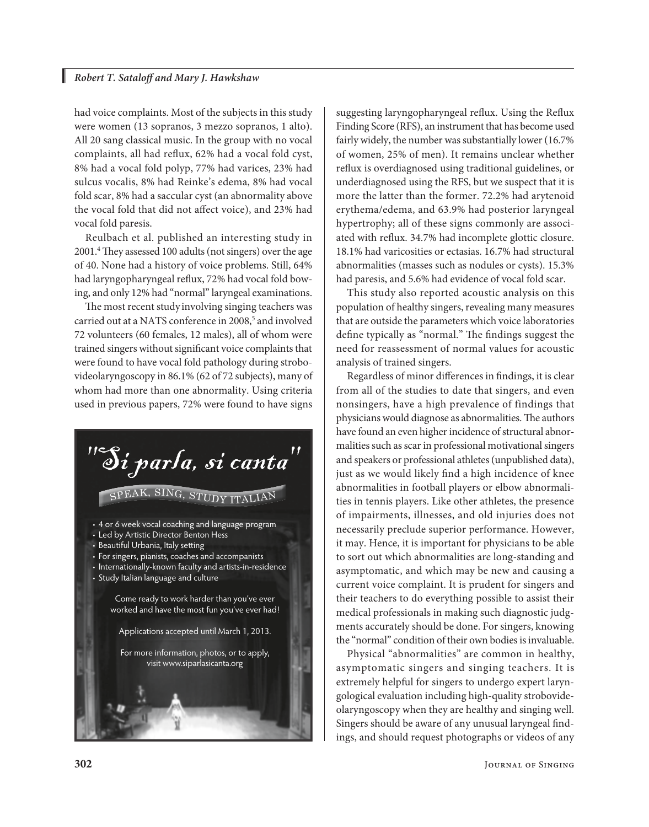had voice complaints. Most of the subjects in this study were women (13 sopranos, 3 mezzo sopranos, 1 alto). All 20 sang classical music. In the group with no vocal complaints, all had reflux, 62% had a vocal fold cyst, 8% had a vocal fold polyp, 77% had varices, 23% had sulcus vocalis, 8% had Reinke's edema, 8% had vocal fold scar, 8% had a saccular cyst (an abnormality above the vocal fold that did not affect voice), and 23% had vocal fold paresis.

Reulbach et al. published an interesting study in 2001.4 They assessed 100 adults (not singers) over the age of 40. None had a history of voice problems. Still, 64% had laryngopharyngeal reflux, 72% had vocal fold bowing, and only 12% had "normal" laryngeal examinations.

The most recent study involving singing teachers was carried out at a NATS conference in 2008,<sup>5</sup> and involved 72 volunteers (60 females, 12 males), all of whom were trained singers without significant voice complaints that were found to have vocal fold pathology during strobovideolaryngoscopy in 86.1% (62 of 72 subjects), many of whom had more than one abnormality. Using criteria used in previous papers, 72% were found to have signs



suggesting laryngopharyngeal reflux. Using the Reflux Finding Score (RFS), an instrument that has become used fairly widely, the number was substantially lower (16.7% of women, 25% of men). It remains unclear whether reflux is overdiagnosed using traditional guidelines, or underdiagnosed using the RFS, but we suspect that it is more the latter than the former. 72.2% had arytenoid erythema/edema, and 63.9% had posterior laryngeal hypertrophy; all of these signs commonly are associated with reflux. 34.7% had incomplete glottic closure. 18.1% had varicosities or ectasias. 16.7% had structural abnormalities (masses such as nodules or cysts). 15.3% had paresis, and 5.6% had evidence of vocal fold scar.

This study also reported acoustic analysis on this population of healthy singers, revealing many measures that are outside the parameters which voice laboratories define typically as "normal." The findings suggest the need for reassessment of normal values for acoustic analysis of trained singers.

Regardless of minor differences in findings, it is clear from all of the studies to date that singers, and even nonsingers, have a high prevalence of findings that physicians would diagnose as abnormalities. The authors have found an even higher incidence of structural abnormalities such as scar in professional motivational singers and speakers or professional athletes (unpublished data), just as we would likely find a high incidence of knee abnormalities in football players or elbow abnormalities in tennis players. Like other athletes, the presence of impairments, illnesses, and old injuries does not necessarily preclude superior performance. However, it may. Hence, it is important for physicians to be able to sort out which abnormalities are long-standing and asymptomatic, and which may be new and causing a current voice complaint. It is prudent for singers and their teachers to do everything possible to assist their medical professionals in making such diagnostic judgments accurately should be done. For singers, knowing the "normal" condition of their own bodies is invaluable.

Physical "abnormalities" are common in healthy, asymptomatic singers and singing teachers. It is extremely helpful for singers to undergo expert laryngological evaluation including high-quality strobovideolaryngoscopy when they are healthy and singing well. Singers should be aware of any unusual laryngeal findings, and should request photographs or videos of any